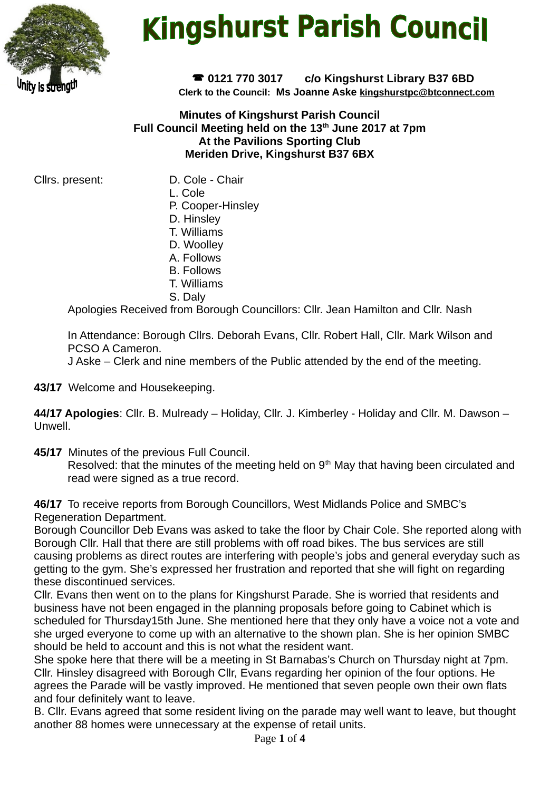

# **Kingshurst Parish Council**

 **0121 770 3017 c/o Kingshurst Library B37 6BD Clerk to the Council: Ms Joanne Aske [kingshurstpc@btconnect.com](mailto:kingshurstpc@btconnect.com)**

**Minutes of Kingshurst Parish Council Full Council Meeting held on the 13th June 2017 at 7pm At the Pavilions Sporting Club Meriden Drive, Kingshurst B37 6BX**

Cllrs. present: D. Cole - Chair

- L. Cole
- P. Cooper-Hinsley
- D. Hinsley
- T. Williams
- D. Woolley
- A. Follows
- B. Follows
- T. Williams
- S. Daly

Apologies Received from Borough Councillors: Cllr. Jean Hamilton and Cllr. Nash

In Attendance: Borough Cllrs. Deborah Evans, Cllr. Robert Hall, Cllr. Mark Wilson and PCSO A Cameron.

J Aske – Clerk and nine members of the Public attended by the end of the meeting.

**43/17** Welcome and Housekeeping.

**44/17 Apologies**: Cllr. B. Mulready – Holiday, Cllr. J. Kimberley - Holiday and Cllr. M. Dawson – Unwell.

**45/17** Minutes of the previous Full Council.

Resolved: that the minutes of the meeting held on 9<sup>th</sup> May that having been circulated and read were signed as a true record.

**46/17** To receive reports from Borough Councillors, West Midlands Police and SMBC's Regeneration Department.

Borough Councillor Deb Evans was asked to take the floor by Chair Cole. She reported along with Borough Cllr. Hall that there are still problems with off road bikes. The bus services are still causing problems as direct routes are interfering with people's jobs and general everyday such as getting to the gym. She's expressed her frustration and reported that she will fight on regarding these discontinued services.

Cllr. Evans then went on to the plans for Kingshurst Parade. She is worried that residents and business have not been engaged in the planning proposals before going to Cabinet which is scheduled for Thursday15th June. She mentioned here that they only have a voice not a vote and she urged everyone to come up with an alternative to the shown plan. She is her opinion SMBC should be held to account and this is not what the resident want.

She spoke here that there will be a meeting in St Barnabas's Church on Thursday night at 7pm. Cllr. Hinsley disagreed with Borough Cllr, Evans regarding her opinion of the four options. He agrees the Parade will be vastly improved. He mentioned that seven people own their own flats and four definitely want to leave.

B. Cllr. Evans agreed that some resident living on the parade may well want to leave, but thought another 88 homes were unnecessary at the expense of retail units.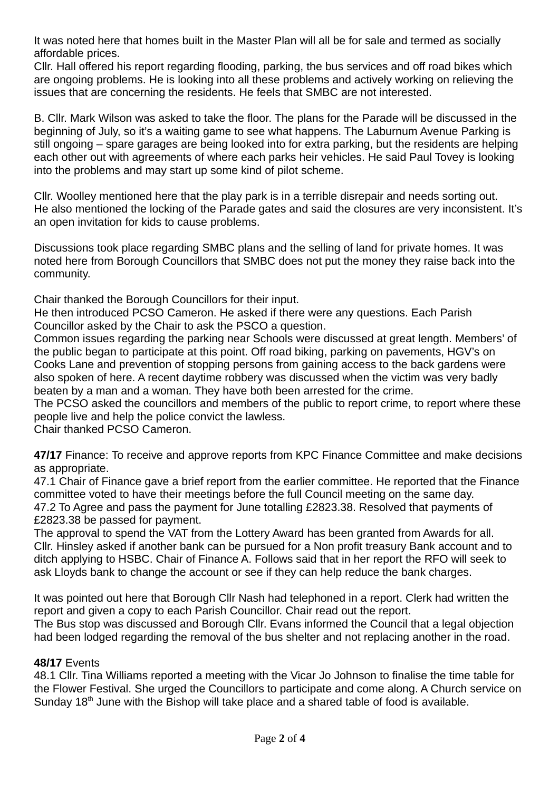It was noted here that homes built in the Master Plan will all be for sale and termed as socially affordable prices.

Cllr. Hall offered his report regarding flooding, parking, the bus services and off road bikes which are ongoing problems. He is looking into all these problems and actively working on relieving the issues that are concerning the residents. He feels that SMBC are not interested.

B. Cllr. Mark Wilson was asked to take the floor. The plans for the Parade will be discussed in the beginning of July, so it's a waiting game to see what happens. The Laburnum Avenue Parking is still ongoing – spare garages are being looked into for extra parking, but the residents are helping each other out with agreements of where each parks heir vehicles. He said Paul Tovey is looking into the problems and may start up some kind of pilot scheme.

Cllr. Woolley mentioned here that the play park is in a terrible disrepair and needs sorting out. He also mentioned the locking of the Parade gates and said the closures are very inconsistent. It's an open invitation for kids to cause problems.

Discussions took place regarding SMBC plans and the selling of land for private homes. It was noted here from Borough Councillors that SMBC does not put the money they raise back into the community.

Chair thanked the Borough Councillors for their input.

He then introduced PCSO Cameron. He asked if there were any questions. Each Parish Councillor asked by the Chair to ask the PSCO a question.

Common issues regarding the parking near Schools were discussed at great length. Members' of the public began to participate at this point. Off road biking, parking on pavements, HGV's on Cooks Lane and prevention of stopping persons from gaining access to the back gardens were also spoken of here. A recent daytime robbery was discussed when the victim was very badly beaten by a man and a woman. They have both been arrested for the crime.

The PCSO asked the councillors and members of the public to report crime, to report where these people live and help the police convict the lawless.

Chair thanked PCSO Cameron.

**47/17** Finance: To receive and approve reports from KPC Finance Committee and make decisions as appropriate.

47.1 Chair of Finance gave a brief report from the earlier committee. He reported that the Finance committee voted to have their meetings before the full Council meeting on the same day. 47.2 To Agree and pass the payment for June totalling £2823.38. Resolved that payments of £2823.38 be passed for payment.

The approval to spend the VAT from the Lottery Award has been granted from Awards for all. Cllr. Hinsley asked if another bank can be pursued for a Non profit treasury Bank account and to ditch applying to HSBC. Chair of Finance A. Follows said that in her report the RFO will seek to ask Lloyds bank to change the account or see if they can help reduce the bank charges.

It was pointed out here that Borough Cllr Nash had telephoned in a report. Clerk had written the report and given a copy to each Parish Councillor. Chair read out the report.

The Bus stop was discussed and Borough Cllr. Evans informed the Council that a legal objection had been lodged regarding the removal of the bus shelter and not replacing another in the road.

#### **48/17** Events

48.1 Cllr. Tina Williams reported a meeting with the Vicar Jo Johnson to finalise the time table for the Flower Festival. She urged the Councillors to participate and come along. A Church service on Sunday  $18<sup>th</sup>$  June with the Bishop will take place and a shared table of food is available.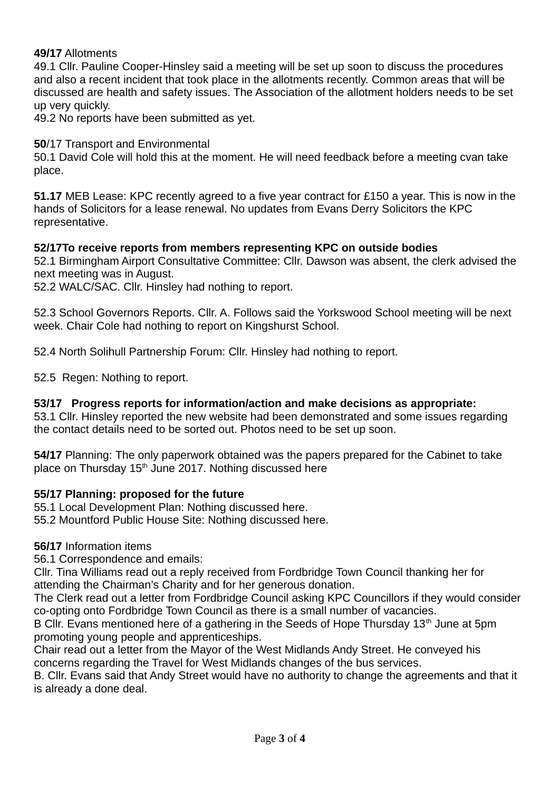## **49/17** Allotments

49.1 Cllr. Pauline Cooper-Hinsley said a meeting will be set up soon to discuss the procedures and also a recent incident that took place in the allotments recently. Common areas that will be discussed are health and safety issues. The Association of the allotment holders needs to be set up very quickly.

49.2 No reports have been submitted as yet.

## **50**/17 Transport and Environmental

50.1 David Cole will hold this at the moment. He will need feedback before a meeting cvan take place.

**51.17** MEB Lease: KPC recently agreed to a five year contract for £150 a year. This is now in the hands of Solicitors for a lease renewal. No updates from Evans Derry Solicitors the KPC representative.

#### **52/17To receive reports from members representing KPC on outside bodies**

52.1 Birmingham Airport Consultative Committee: Cllr. Dawson was absent, the clerk advised the next meeting was in August.

52.2 WALC/SAC. Cllr. Hinsley had nothing to report.

52.3 School Governors Reports. Cllr. A. Follows said the Yorkswood School meeting will be next week. Chair Cole had nothing to report on Kingshurst School.

52.4 North Solihull Partnership Forum: Cllr. Hinsley had nothing to report.

52.5 Regen: Nothing to report.

#### **53/17 Progress reports for information/action and make decisions as appropriate:**

53.1 Cllr. Hinsley reported the new website had been demonstrated and some issues regarding the contact details need to be sorted out. Photos need to be set up soon.

**54/17** Planning: The only paperwork obtained was the papers prepared for the Cabinet to take place on Thursday  $15<sup>th</sup>$  June 2017. Nothing discussed here

#### **55/17 Planning: proposed for the future**

55.1 Local Development Plan: Nothing discussed here.

55.2 Mountford Public House Site: Nothing discussed here.

# **56/17** Information items

56.1 Correspondence and emails:

Cllr. Tina Williams read out a reply received from Fordbridge Town Council thanking her for attending the Chairman's Charity and for her generous donation.

The Clerk read out a letter from Fordbridge Council asking KPC Councillors if they would consider co-opting onto Fordbridge Town Council as there is a small number of vacancies.

B Cllr. Evans mentioned here of a gathering in the Seeds of Hope Thursday 13<sup>th</sup> June at 5pm promoting young people and apprenticeships.

Chair read out a letter from the Mayor of the West Midlands Andy Street. He conveyed his concerns regarding the Travel for West Midlands changes of the bus services.

B. Cllr. Evans said that Andy Street would have no authority to change the agreements and that it is already a done deal.